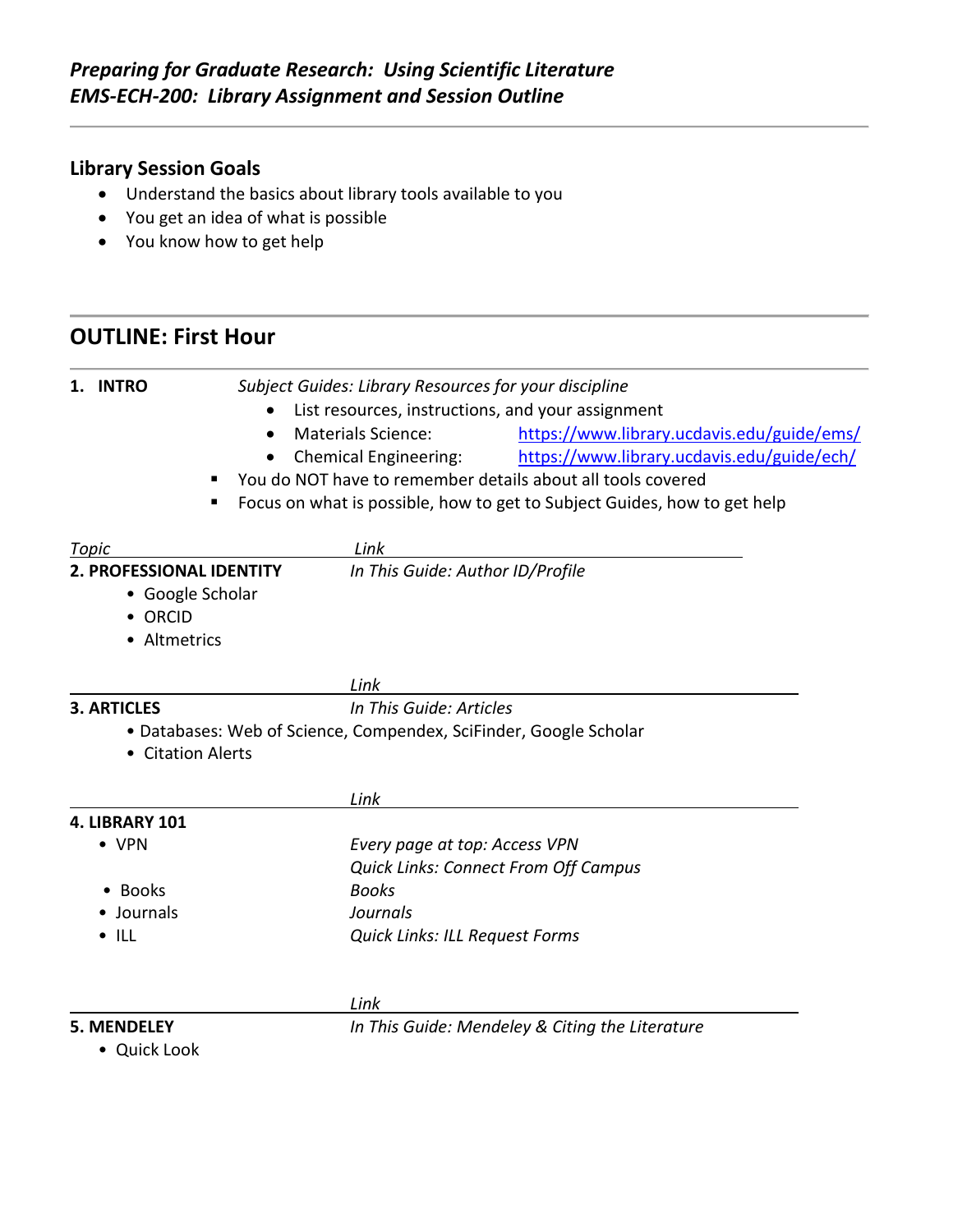### **Library Session Goals**

- Understand the basics about library tools available to you
- You get an idea of what is possible
- You know how to get help

## **OUTLINE: First Hour**

| <b>INTRO</b>                                                          | Subject Guides: Library Resources for your discipline             |                                                                          |  |
|-----------------------------------------------------------------------|-------------------------------------------------------------------|--------------------------------------------------------------------------|--|
| $\bullet$                                                             |                                                                   | List resources, instructions, and your assignment                        |  |
| $\bullet$                                                             | <b>Materials Science:</b>                                         | https://www.library.ucdavis.edu/guide/ems/                               |  |
|                                                                       | <b>Chemical Engineering:</b>                                      | https://www.library.ucdavis.edu/guide/ech/                               |  |
|                                                                       |                                                                   | You do NOT have to remember details about all tools covered              |  |
|                                                                       |                                                                   | Focus on what is possible, how to get to Subject Guides, how to get help |  |
| Topic                                                                 | Link                                                              |                                                                          |  |
| 2. PROFESSIONAL IDENTITY                                              | In This Guide: Author ID/Profile                                  |                                                                          |  |
| • Google Scholar                                                      |                                                                   |                                                                          |  |
| • ORCID                                                               |                                                                   |                                                                          |  |
| • Altmetrics                                                          |                                                                   |                                                                          |  |
|                                                                       | Link                                                              |                                                                          |  |
| <b>3. ARTICLES</b>                                                    |                                                                   | In This Guide: Articles                                                  |  |
| • Citation Alerts                                                     | · Databases: Web of Science, Compendex, SciFinder, Google Scholar |                                                                          |  |
|                                                                       |                                                                   |                                                                          |  |
|                                                                       | Link                                                              |                                                                          |  |
| 4. LIBRARY 101                                                        |                                                                   |                                                                          |  |
| • VPN                                                                 |                                                                   | Every page at top: Access VPN                                            |  |
|                                                                       |                                                                   | <b>Quick Links: Connect From Off Campus</b>                              |  |
| <b>Books</b>                                                          | <b>Books</b>                                                      |                                                                          |  |
| Journals<br>Journals                                                  |                                                                   |                                                                          |  |
| $\bullet$ ILL                                                         | Quick Links: ILL Request Forms                                    |                                                                          |  |
|                                                                       | Link                                                              |                                                                          |  |
| In This Guide: Mendeley & Citing the Literature<br><b>5. MENDELEY</b> |                                                                   |                                                                          |  |

• Quick Look